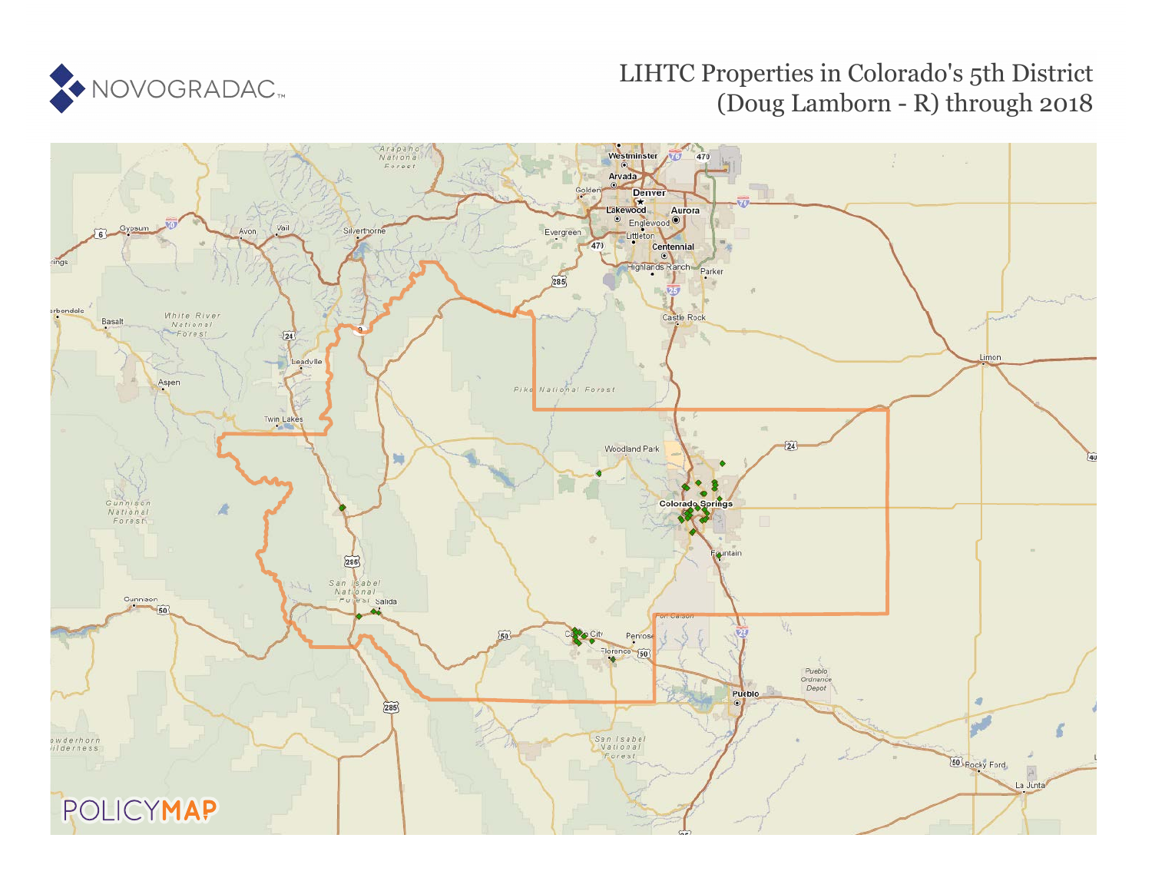

## LIHTC Properties in Colorado's 5th District (Doug Lamborn - R) through 2018

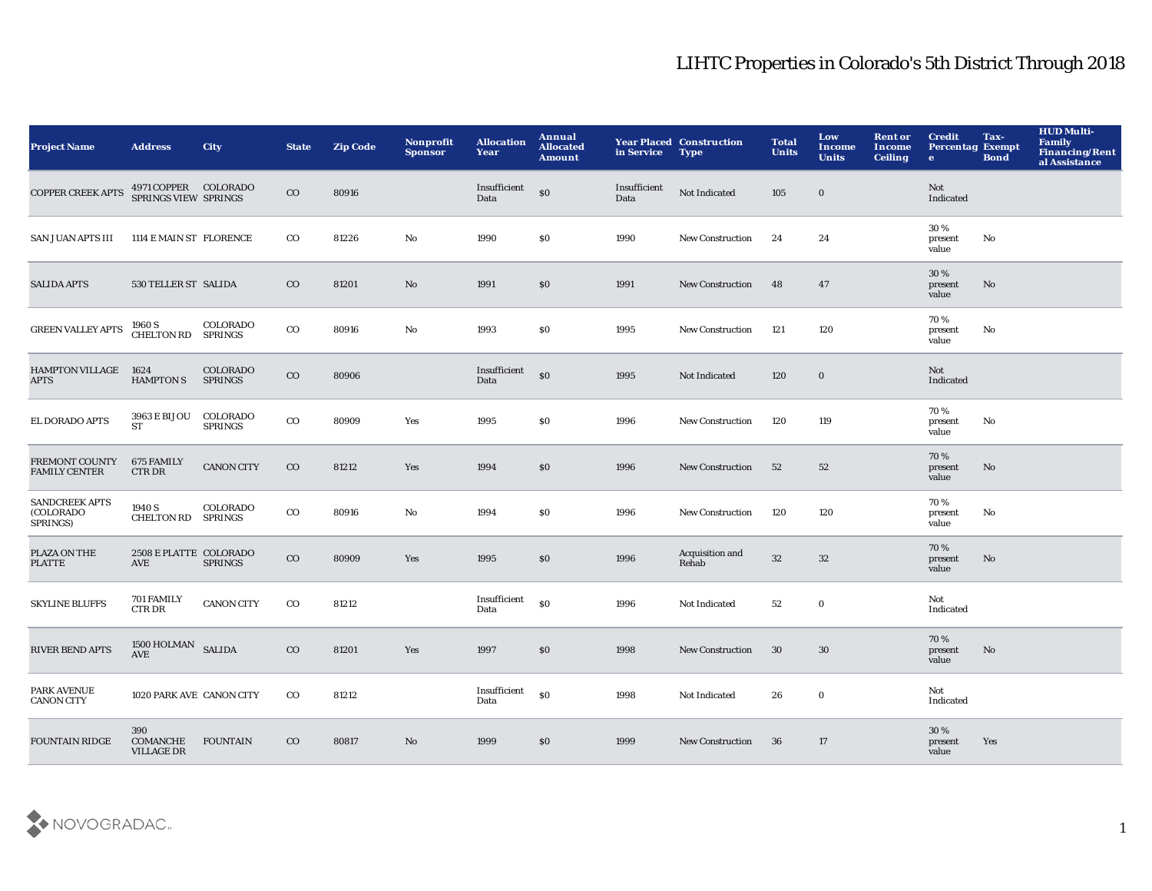| <b>Project Name</b>                            | <b>Address</b>                               | City                              | <b>State</b> | <b>Zip Code</b> | Nonprofit<br><b>Sponsor</b> | <b>Allocation</b><br>Year | Annual<br><b>Allocated</b><br><b>Amount</b> | in Service           | <b>Year Placed Construction</b><br><b>Type</b> | <b>Total</b><br><b>Units</b> | Low<br><b>Income</b><br><b>Units</b> | <b>Rent or</b><br><b>Income</b><br><b>Ceiling</b> | <b>Credit</b><br><b>Percentag Exempt</b><br>$\bullet$ | Tax-<br><b>Bond</b>    | <b>HUD Multi-</b><br>Family<br><b>Financing/Rent</b><br>al Assistance |
|------------------------------------------------|----------------------------------------------|-----------------------------------|--------------|-----------------|-----------------------------|---------------------------|---------------------------------------------|----------------------|------------------------------------------------|------------------------------|--------------------------------------|---------------------------------------------------|-------------------------------------------------------|------------------------|-----------------------------------------------------------------------|
| <b>COPPER CREEK APTS</b>                       | 4971 COPPER COLORADO<br>SPRINGS VIEW SPRINGS |                                   | $_{\rm CO}$  | 80916           |                             | Insufficient<br>Data      | \$0                                         | Insufficient<br>Data | Not Indicated                                  | 105                          | $\bf{0}$                             |                                                   | Not<br>Indicated                                      |                        |                                                                       |
| SAN JUAN APTS III                              | 1114 E MAIN ST FLORENCE                      |                                   | $_{\rm CO}$  | 81226           | No                          | 1990                      | \$0                                         | 1990                 | New Construction                               | 24                           | 24                                   |                                                   | 30 %<br>present<br>value                              | No                     |                                                                       |
| <b>SALIDA APTS</b>                             | 530 TELLER ST SALIDA                         |                                   | $_{\rm CO}$  | 81201           | No                          | 1991                      | \$0                                         | 1991                 | <b>New Construction</b>                        | 48                           | 47                                   |                                                   | 30 %<br>present<br>value                              | No                     |                                                                       |
| <b>GREEN VALLEY APTS</b>                       | 1960 S<br><b>CHELTON RD</b>                  | COLORADO<br><b>SPRINGS</b>        | $_{\rm CO}$  | 80916           | $\mathbf{No}$               | 1993                      | \$0                                         | 1995                 | New Construction                               | 121                          | 120                                  |                                                   | 70%<br>present<br>value                               | No                     |                                                                       |
| <b>HAMPTON VILLAGE</b><br><b>APTS</b>          | 1624<br><b>HAMPTON S</b>                     | <b>COLORADO</b><br><b>SPRINGS</b> | $_{\rm CO}$  | 80906           |                             | Insufficient<br>Data      | $\boldsymbol{\mathsf{S}}$                   | 1995                 | Not Indicated                                  | 120                          | $\mathbf 0$                          |                                                   | Not<br>Indicated                                      |                        |                                                                       |
| EL DORADO APTS                                 | 3963 E BIJOU<br>ST                           | COLORADO<br><b>SPRINGS</b>        | $_{\rm CO}$  | 80909           | Yes                         | 1995                      | <b>SO</b>                                   | 1996                 | <b>New Construction</b>                        | 120                          | 119                                  |                                                   | 70%<br>present<br>value                               | No                     |                                                                       |
| FREMONT COUNTY<br><b>FAMILY CENTER</b>         | 675 FAMILY<br><b>CTRDR</b>                   | <b>CANON CITY</b>                 | $_{\rm CO}$  | 81212           | Yes                         | 1994                      | \$0                                         | 1996                 | <b>New Construction</b>                        | 52                           | 52                                   |                                                   | 70%<br>present<br>value                               | $\mathbf{N}\mathbf{o}$ |                                                                       |
| <b>SANDCREEK APTS</b><br>(COLORADO<br>SPRINGS) | 1940 S<br><b>CHELTON RD</b>                  | COLORADO<br><b>SPRINGS</b>        | $_{\rm CO}$  | 80916           | No                          | 1994                      | \$0                                         | 1996                 | New Construction                               | 120                          | 120                                  |                                                   | 70%<br>present<br>value                               | No                     |                                                                       |
| PLAZA ON THE<br><b>PLATTE</b>                  | 2508 E PLATTE COLORADO<br>AVE                | <b>SPRINGS</b>                    | $_{\rm CO}$  | 80909           | Yes                         | 1995                      | \$0                                         | 1996                 | Acquisition and<br>Rehab                       | $32\,$                       | $32\,$                               |                                                   | 70%<br>present<br>value                               | No                     |                                                                       |
| <b>SKYLINE BLUFFS</b>                          | 701 FAMILY<br><b>CTRDR</b>                   | <b>CANON CITY</b>                 | $_{\rm CO}$  | 81212           |                             | Insufficient<br>Data      | \$0                                         | 1996                 | Not Indicated                                  | 52                           | $\mathbf 0$                          |                                                   | Not<br>Indicated                                      |                        |                                                                       |
| <b>RIVER BEND APTS</b>                         | 1500 HOLMAN SALIDA<br>AVE                    |                                   | $_{\rm CO}$  | 81201           | Yes                         | 1997                      | \$0                                         | 1998                 | New Construction                               | 30                           | 30                                   |                                                   | 70%<br>present<br>value                               | No                     |                                                                       |
| PARK AVENUE<br><b>CANON CITY</b>               | 1020 PARK AVE CANON CITY                     |                                   | $_{\rm CO}$  | 81212           |                             | Insufficient<br>Data      | \$0                                         | 1998                 | Not Indicated                                  | 26                           | $\mathbf 0$                          |                                                   | Not<br>Indicated                                      |                        |                                                                       |
| <b>FOUNTAIN RIDGE</b>                          | 390<br>COMANCHE<br><b>VILLAGE DR</b>         | <b>FOUNTAIN</b>                   | $_{\rm CO}$  | 80817           | No                          | 1999                      | \$0                                         | 1999                 | <b>New Construction</b>                        | 36                           | 17                                   |                                                   | 30 %<br>present<br>value                              | Yes                    |                                                                       |

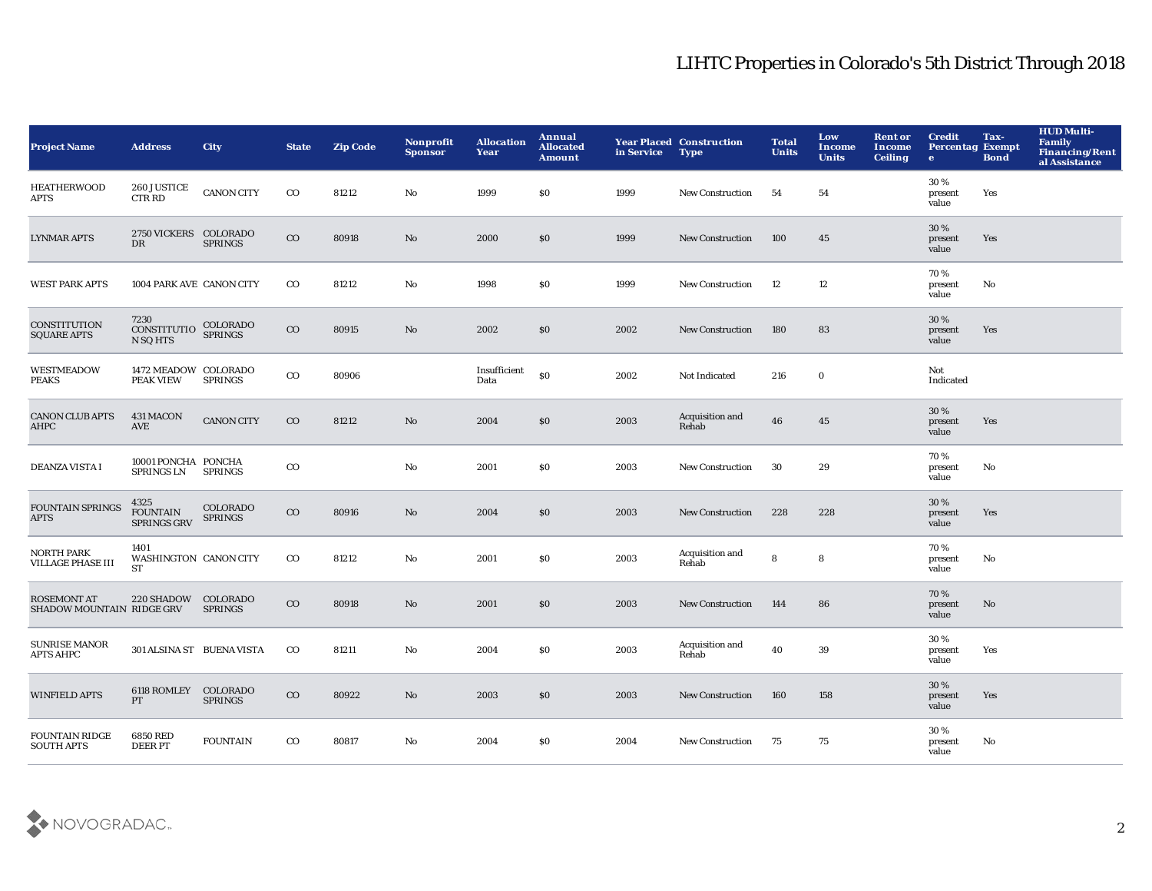| <b>Project Name</b>                             | <b>Address</b>                                | <b>City</b>                | <b>State</b> | <b>Zip Code</b> | Nonprofit<br><b>Sponsor</b> | <b>Allocation</b><br>Year | Annual<br><b>Allocated</b><br><b>Amount</b> | in Service | <b>Year Placed Construction</b><br><b>Type</b> | <b>Total</b><br><b>Units</b> | Low<br>Income<br><b>Units</b> | <b>Rent or</b><br><b>Income</b><br><b>Ceiling</b> | <b>Credit</b><br><b>Percentag Exempt</b><br>$\bullet$ | Tax-<br><b>Bond</b> | <b>HUD Multi-</b><br><b>Family</b><br><b>Financing/Rent</b><br>al Assistance |
|-------------------------------------------------|-----------------------------------------------|----------------------------|--------------|-----------------|-----------------------------|---------------------------|---------------------------------------------|------------|------------------------------------------------|------------------------------|-------------------------------|---------------------------------------------------|-------------------------------------------------------|---------------------|------------------------------------------------------------------------------|
| <b>HEATHERWOOD</b><br>APTS                      | 260 JUSTICE<br><b>CTR RD</b>                  | <b>CANON CITY</b>          | $_{\rm CO}$  | 81212           | No                          | 1999                      | \$0                                         | 1999       | New Construction                               | 54                           | 54                            |                                                   | 30 %<br>present<br>value                              | Yes                 |                                                                              |
| <b>LYNMAR APTS</b>                              | 2750 VICKERS COLORADO<br>DR                   | <b>SPRINGS</b>             | $_{\rm CO}$  | 80918           | No                          | 2000                      | \$0                                         | 1999       | <b>New Construction</b>                        | 100                          | 45                            |                                                   | 30 %<br>present<br>value                              | Yes                 |                                                                              |
| <b>WEST PARK APTS</b>                           | 1004 PARK AVE CANON CITY                      |                            | $_{\rm CO}$  | 81212           | $\mathbf{No}$               | 1998                      | \$0                                         | 1999       | <b>New Construction</b>                        | 12                           | 12                            |                                                   | 70%<br>present<br>value                               | No                  |                                                                              |
| CONSTITUTION<br><b>SQUARE APTS</b>              | 7230<br>CONSTITUTIO COLORADO<br>N SQ HTS      |                            | $\rm{CO}$    | 80915           | No                          | 2002                      | \$0                                         | 2002       | <b>New Construction</b>                        | 180                          | 83                            |                                                   | 30%<br>present<br>value                               | Yes                 |                                                                              |
| <b>WESTMEADOW</b><br><b>PEAKS</b>               | 1472 MEADOW COLORADO<br><b>PEAK VIEW</b>      | <b>SPRINGS</b>             | $_{\rm CO}$  | 80906           |                             | Insufficient<br>Data      | \$0                                         | 2002       | Not Indicated                                  | 216                          | $\bf{0}$                      |                                                   | Not<br>Indicated                                      |                     |                                                                              |
| <b>CANON CLUB APTS</b><br>AHPC                  | 431 MACON<br>AVE                              | <b>CANON CITY</b>          | $_{\rm CO}$  | 81212           | No                          | 2004                      | \$0                                         | 2003       | Acquisition and<br>Rehab                       | 46                           | 45                            |                                                   | 30 %<br>present<br>value                              | Yes                 |                                                                              |
| <b>DEANZA VISTA I</b>                           | 10001 PONCHA PONCHA<br>SPRINGS LN             | <b>SPRINGS</b>             | $_{\rm CO}$  |                 | $\mathbf{No}$               | 2001                      | \$0                                         | 2003       | <b>New Construction</b>                        | 30                           | 29                            |                                                   | 70%<br>present<br>value                               | No                  |                                                                              |
| <b>FOUNTAIN SPRINGS</b><br><b>APTS</b>          | 4325<br><b>FOUNTAIN</b><br><b>SPRINGS GRV</b> | COLORADO<br><b>SPRINGS</b> | $\rm{CO}$    | 80916           | No                          | 2004                      | \$0                                         | 2003       | <b>New Construction</b>                        | 228                          | 228                           |                                                   | 30%<br>present<br>value                               | Yes                 |                                                                              |
| <b>NORTH PARK</b><br>VILLAGE PHASE III          | 1401<br>WASHINGTON CANON CITY<br><b>ST</b>    |                            | $_{\rm CO}$  | 81212           | No                          | 2001                      | \$0                                         | 2003       | Acquisition and<br>Rehab                       | 8                            | 8                             |                                                   | 70%<br>present<br>value                               | No                  |                                                                              |
| <b>ROSEMONT AT</b><br>SHADOW MOUNTAIN RIDGE GRV | 220 SHADOW COLORADO                           | <b>SPRINGS</b>             | $_{\rm CO}$  | 80918           | No                          | 2001                      | \$0                                         | 2003       | <b>New Construction</b>                        | 144                          | 86                            |                                                   | 70%<br>present<br>value                               | No                  |                                                                              |
| <b>SUNRISE MANOR</b><br><b>APTS AHPC</b>        | 301 ALSINA ST BUENA VISTA                     |                            | $_{\rm CO}$  | 81211           | No                          | 2004                      | \$0                                         | 2003       | Acquisition and<br>Rehab                       | 40                           | 39                            |                                                   | 30%<br>present<br>value                               | Yes                 |                                                                              |
| <b>WINFIELD APTS</b>                            | 6118 ROMLEY COLORADO<br>PT                    | <b>SPRINGS</b>             | $\rm{CO}$    | 80922           | No                          | 2003                      | \$0                                         | 2003       | <b>New Construction</b>                        | 160                          | 158                           |                                                   | 30%<br>present<br>value                               | Yes                 |                                                                              |
| <b>FOUNTAIN RIDGE</b><br><b>SOUTH APTS</b>      | <b>6850 RED</b><br><b>DEERPT</b>              | <b>FOUNTAIN</b>            | $_{\rm CO}$  | 80817           | No                          | 2004                      | \$0                                         | 2004       | <b>New Construction</b>                        | 75                           | 75                            |                                                   | 30%<br>present<br>value                               | No                  |                                                                              |

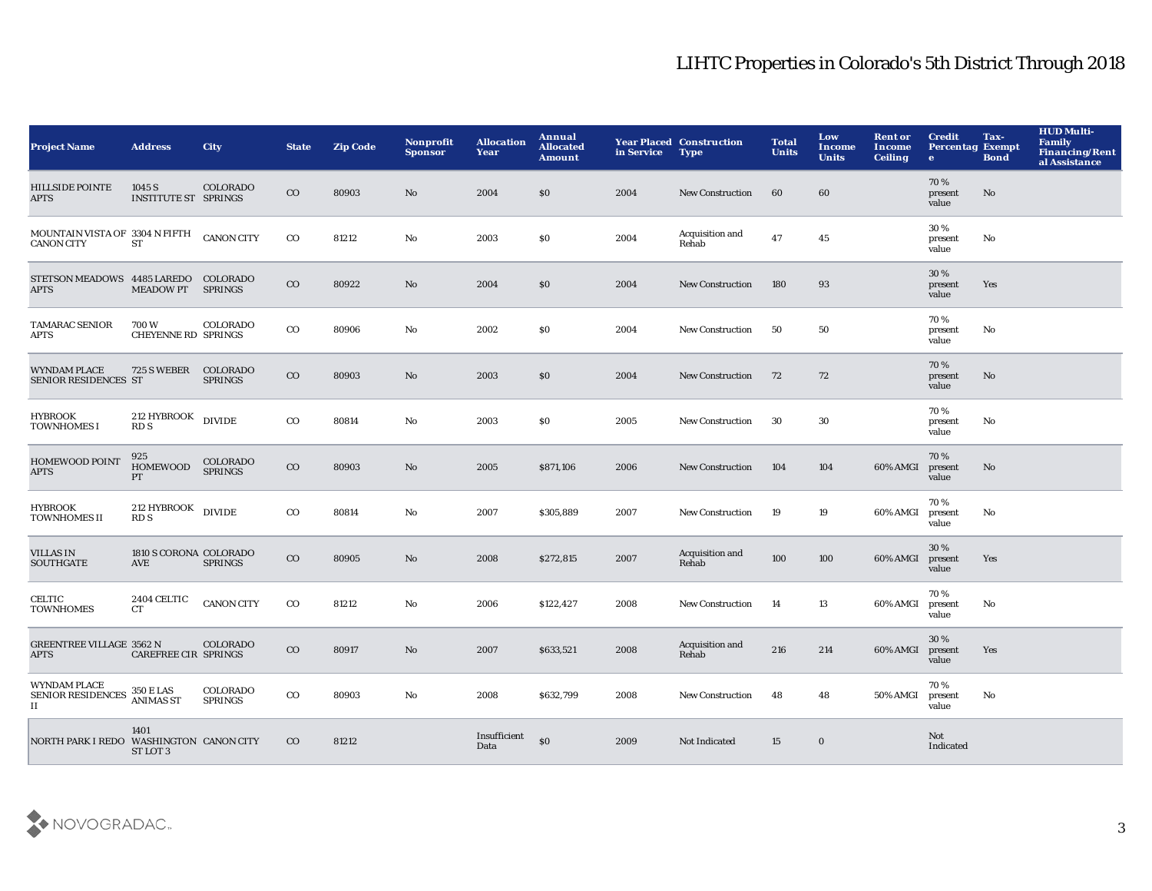| <b>Project Name</b>                                     | <b>Address</b>                        | City                       | <b>State</b> | <b>Zip Code</b> | Nonprofit<br><b>Sponsor</b> | <b>Allocation</b><br>Year | Annual<br><b>Allocated</b><br><b>Amount</b> | in Service | <b>Year Placed Construction</b><br><b>Type</b> | <b>Total</b><br><b>Units</b> | Low<br><b>Income</b><br><b>Units</b> | <b>Rent or</b><br><b>Income</b><br><b>Ceiling</b> | <b>Credit</b><br><b>Percentag Exempt</b><br>$\bullet$ | Tax-<br><b>Bond</b> | <b>HUD Multi-</b><br>Family<br><b>Financing/Rent</b><br>al Assistance |
|---------------------------------------------------------|---------------------------------------|----------------------------|--------------|-----------------|-----------------------------|---------------------------|---------------------------------------------|------------|------------------------------------------------|------------------------------|--------------------------------------|---------------------------------------------------|-------------------------------------------------------|---------------------|-----------------------------------------------------------------------|
| <b>HILLSIDE POINTE</b><br>APTS                          | 1045 S<br><b>INSTITUTE ST SPRINGS</b> | COLORADO                   | $_{\rm CO}$  | 80903           | No                          | 2004                      | \$0                                         | 2004       | <b>New Construction</b>                        | 60                           | 60                                   |                                                   | 70%<br>present<br>value                               | No                  |                                                                       |
| MOUNTAIN VISTA OF 3304 N FIFTH<br><b>CANON CITY</b>     | <b>ST</b>                             | <b>CANON CITY</b>          | $_{\rm CO}$  | 81212           | No                          | 2003                      | \$0                                         | 2004       | Acquisition and<br>Rehab                       | 47                           | 45                                   |                                                   | 30 %<br>present<br>value                              | No                  |                                                                       |
| STETSON MEADOWS 4485 LAREDO COLORADO<br><b>APTS</b>     | <b>MEADOW PT</b>                      | <b>SPRINGS</b>             | $_{\rm CO}$  | 80922           | No                          | 2004                      | \$0                                         | 2004       | <b>New Construction</b>                        | 180                          | 93                                   |                                                   | 30 %<br>present<br>value                              | Yes                 |                                                                       |
| <b>TAMARAC SENIOR</b><br>APTS                           | 700W<br><b>CHEYENNE RD SPRINGS</b>    | COLORADO                   | $_{\rm CO}$  | 80906           | No                          | 2002                      | \$0                                         | 2004       | New Construction                               | 50                           | 50                                   |                                                   | 70%<br>present<br>value                               | No                  |                                                                       |
| <b>WYNDAM PLACE</b><br>SENIOR RESIDENCES ST             | 725 S WEBER                           | COLORADO<br><b>SPRINGS</b> | $_{\rm CO}$  | 80903           | No                          | 2003                      | \$0                                         | 2004       | <b>New Construction</b>                        | 72                           | 72                                   |                                                   | 70%<br>present<br>value                               | No                  |                                                                       |
| HYBROOK<br><b>TOWNHOMES I</b>                           | 212 HYBROOK<br><b>RDS</b>             | <b>DIVIDE</b>              | $_{\rm CO}$  | 80814           | No                          | 2003                      | <b>SO</b>                                   | 2005       | <b>New Construction</b>                        | 30                           | 30                                   |                                                   | 70%<br>present<br>value                               | No                  |                                                                       |
| <b>HOMEWOOD POINT</b><br>APTS                           | 925<br><b>HOMEWOOD</b><br>PT          | COLORADO<br><b>SPRINGS</b> | $_{\rm CO}$  | 80903           | No                          | 2005                      | \$871,106                                   | 2006       | <b>New Construction</b>                        | 104                          | 104                                  | 60% AMGI                                          | 70%<br>present<br>value                               | No                  |                                                                       |
| <b>HYBROOK</b><br><b>TOWNHOMES II</b>                   | $212$ HYBROOK $\quad$ DIVIDE<br>RD S  |                            | $_{\rm CO}$  | 80814           | No                          | 2007                      | \$305,889                                   | 2007       | <b>New Construction</b>                        | 19                           | 19                                   | 60% AMGI                                          | 70%<br>present<br>value                               | No                  |                                                                       |
| <b>VILLAS IN</b><br><b>SOUTHGATE</b>                    | 1810 S CORONA COLORADO<br>AVE         | <b>SPRINGS</b>             | $_{\rm CO}$  | 80905           | No                          | 2008                      | \$272,815                                   | 2007       | Acquisition and<br>Rehab                       | 100                          | 100                                  | 60% AMGI                                          | 30%<br>present<br>value                               | Yes                 |                                                                       |
| CELTIC<br><b>TOWNHOMES</b>                              | 2404 CELTIC<br><b>CT</b>              | <b>CANON CITY</b>          | $_{\rm CO}$  | 81212           | No                          | 2006                      | \$122,427                                   | 2008       | <b>New Construction</b>                        | 14                           | 13                                   | 60% AMGI                                          | 70%<br>present<br>value                               | No                  |                                                                       |
| <b>GREENTREE VILLAGE 3562 N</b><br><b>APTS</b>          | CAREFREE CIR SPRINGS                  | <b>COLORADO</b>            | $_{\rm CO}$  | 80917           | No                          | 2007                      | \$633,521                                   | 2008       | Acquisition and<br>Rehab                       | 216                          | 214                                  | 60% AMGI                                          | 30%<br>present<br>value                               | Yes                 |                                                                       |
| <b>WYNDAM PLACE</b><br>SENIOR RESIDENCES 350 E LAS<br>п |                                       | COLORADO<br><b>SPRINGS</b> | $_{\rm CO}$  | 80903           | No                          | 2008                      | \$632,799                                   | 2008       | <b>New Construction</b>                        | 48                           | 48                                   | 50% AMGI                                          | 70%<br>present<br>value                               | No                  |                                                                       |
| NORTH PARK I REDO WASHINGTON CANON CITY                 | 1401<br>ST LOT 3                      |                            | $_{\rm CO}$  | 81212           |                             | Insufficient<br>Data      | \$0                                         | 2009       | Not Indicated                                  | 15                           | $\bf{0}$                             |                                                   | Not<br>Indicated                                      |                     |                                                                       |

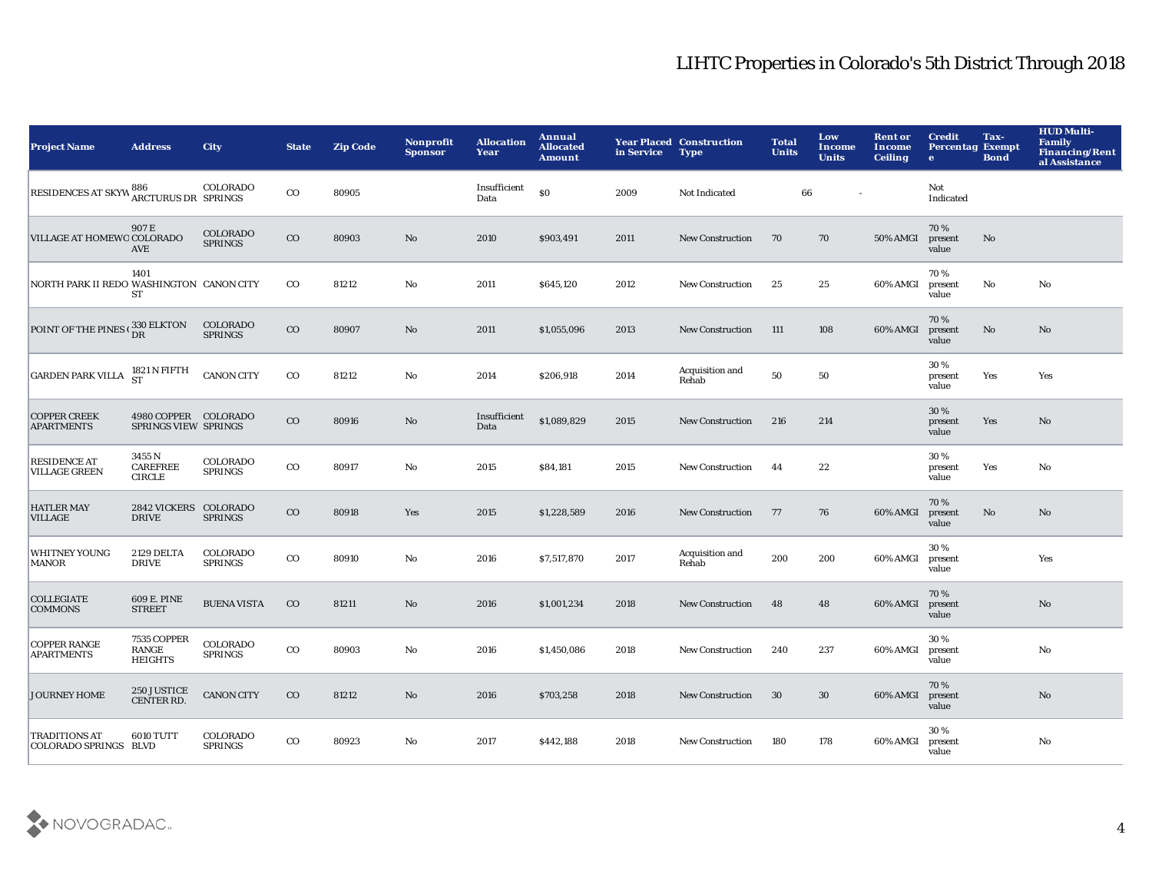| <b>Project Name</b>                                  | <b>Address</b>                               | <b>City</b>                | <b>State</b> | <b>Zip Code</b> | <b>Nonprofit</b><br><b>Sponsor</b> | <b>Allocation</b><br>Year | Annual<br><b>Allocated</b><br><b>Amount</b> | in Service | <b>Year Placed Construction</b><br><b>Type</b> | <b>Total</b><br><b>Units</b> | Low<br><b>Income</b><br><b>Units</b> | <b>Rent or</b><br><b>Income</b><br><b>Ceiling</b> | <b>Credit</b><br><b>Percentag Exempt</b><br>$\bullet$ | Tax-<br><b>Bond</b> | <b>HUD Multi-</b><br>Family<br><b>Financing/Rent</b><br>al Assistance |
|------------------------------------------------------|----------------------------------------------|----------------------------|--------------|-----------------|------------------------------------|---------------------------|---------------------------------------------|------------|------------------------------------------------|------------------------------|--------------------------------------|---------------------------------------------------|-------------------------------------------------------|---------------------|-----------------------------------------------------------------------|
| RESIDENCES AT SKYW 886 COLORAD                       |                                              | COLORADO                   | $_{\rm CO}$  | 80905           |                                    | Insufficient<br>Data      | \$0                                         | 2009       | Not Indicated                                  | 66                           |                                      |                                                   | Not<br>Indicated                                      |                     |                                                                       |
| VILLAGE AT HOMEWO COLORADO                           | 907 E<br><b>AVE</b>                          | COLORADO<br><b>SPRINGS</b> | $_{\rm CO}$  | 80903           | No                                 | 2010                      | \$903,491                                   | 2011       | <b>New Construction</b>                        | 70                           | 70                                   | 50% AMGI                                          | 70%<br>present<br>value                               | No                  |                                                                       |
| NORTH PARK II REDO WASHINGTON CANON CITY             | 1401<br>ST                                   |                            | $_{\rm CO}$  | 81212           | No                                 | 2011                      | \$645,120                                   | 2012       | <b>New Construction</b>                        | 25                           | 25                                   | 60% AMGI                                          | 70%<br>present<br>value                               | No                  | No                                                                    |
| POINT OF THE PINES (330 ELKTON                       |                                              | COLORADO<br><b>SPRINGS</b> | $_{\rm CO}$  | 80907           | No                                 | 2011                      | \$1,055,096                                 | 2013       | <b>New Construction</b>                        | 111                          | 108                                  | 60% AMGI                                          | 70%<br>present<br>value                               | $\mathbf {No}$      | No                                                                    |
| <b>GARDEN PARK VILLA</b>                             | 1821 N FIFTH<br>ST                           | <b>CANON CITY</b>          | $_{\rm CO}$  | 81212           | No                                 | 2014                      | \$206,918                                   | 2014       | Acquisition and<br>Rehab                       | 50                           | 50                                   |                                                   | 30%<br>present<br>value                               | Yes                 | Yes                                                                   |
| <b>COPPER CREEK</b><br><b>APARTMENTS</b>             | 4980 COPPER COLORADO<br>SPRINGS VIEW SPRINGS |                            | $_{\rm CO}$  | 80916           | No                                 | Insufficient<br>Data      | \$1,089,829                                 | 2015       | <b>New Construction</b>                        | 216                          | 214                                  |                                                   | 30 %<br>present<br>value                              | Yes                 | No                                                                    |
| <b>RESIDENCE AT</b><br><b>VILLAGE GREEN</b>          | 3455 N<br><b>CAREFREE</b><br><b>CIRCLE</b>   | COLORADO<br><b>SPRINGS</b> | $_{\rm CO}$  | 80917           | No                                 | 2015                      | \$84,181                                    | 2015       | <b>New Construction</b>                        | 44                           | 22                                   |                                                   | 30 %<br>present<br>value                              | Yes                 | No                                                                    |
| <b>HATLER MAY</b><br><b>VILLAGE</b>                  | 2842 VICKERS COLORADO<br><b>DRIVE</b>        | <b>SPRINGS</b>             | $_{\rm CO}$  | 80918           | Yes                                | 2015                      | \$1,228,589                                 | 2016       | <b>New Construction</b>                        | 77                           | 76                                   | 60% AMGI                                          | 70%<br>present<br>value                               | No                  | No                                                                    |
| <b>WHITNEY YOUNG</b><br><b>MANOR</b>                 | 2129 DELTA<br><b>DRIVE</b>                   | COLORADO<br><b>SPRINGS</b> | $_{\rm CO}$  | 80910           | No                                 | 2016                      | \$7,517,870                                 | 2017       | Acquisition and<br>Rehab                       | 200                          | 200                                  | 60% AMGI                                          | 30%<br>present<br>value                               |                     | Yes                                                                   |
| <b>COLLEGIATE</b><br><b>COMMONS</b>                  | 609 E. PINE<br><b>STREET</b>                 | <b>BUENA VISTA</b>         | $_{\rm CO}$  | 81211           | No                                 | 2016                      | \$1,001,234                                 | 2018       | <b>New Construction</b>                        | 48                           | 48                                   | 60% AMGI                                          | 70%<br>present<br>value                               |                     | $\mathbf{N}\mathbf{o}$                                                |
| <b>COPPER RANGE</b><br><b>APARTMENTS</b>             | 7535 COPPER<br>RANGE<br><b>HEIGHTS</b>       | COLORADO<br><b>SPRINGS</b> | $_{\rm CO}$  | 80903           | No                                 | 2016                      | \$1,450,086                                 | 2018       | <b>New Construction</b>                        | 240                          | 237                                  | 60% AMGI                                          | 30%<br>present<br>value                               |                     | No                                                                    |
| JOURNEY HOME                                         | 250 JUSTICE<br>CENTER RD.                    | <b>CANON CITY</b>          | $_{\rm CO}$  | 81212           | No                                 | 2016                      | \$703,258                                   | 2018       | <b>New Construction</b>                        | 30                           | 30                                   | 60% AMGI                                          | 70%<br>present<br>value                               |                     | $\mathbf{N}\mathbf{o}$                                                |
| <b>TRADITIONS AT</b><br><b>COLORADO SPRINGS BLVD</b> | <b>6010 TUTT</b>                             | COLORADO<br><b>SPRINGS</b> | $_{\rm CO}$  | 80923           | No                                 | 2017                      | \$442,188                                   | 2018       | <b>New Construction</b>                        | 180                          | 178                                  | 60% AMGI                                          | 30%<br>present<br>value                               |                     | No                                                                    |